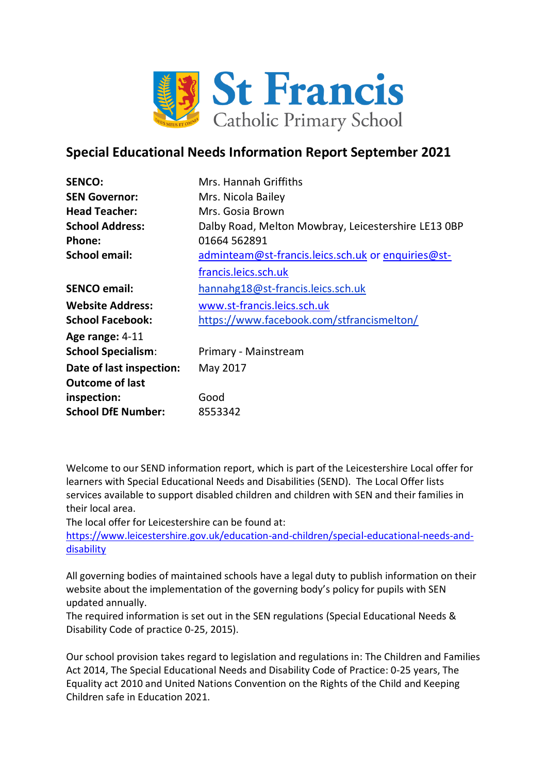

# **Special Educational Needs Information Report September 2021**

| <b>SENCO:</b>             | Mrs. Hannah Griffiths                               |
|---------------------------|-----------------------------------------------------|
| <b>SEN Governor:</b>      | Mrs. Nicola Bailey                                  |
| <b>Head Teacher:</b>      | Mrs. Gosia Brown                                    |
| <b>School Address:</b>    | Dalby Road, Melton Mowbray, Leicestershire LE13 OBP |
| Phone:                    | 01664 562891                                        |
| <b>School email:</b>      | adminteam@st-francis.leics.sch.uk or enquiries@st-  |
|                           | francis.leics.sch.uk                                |
| <b>SENCO email:</b>       | hannahg18@st-francis.leics.sch.uk                   |
| <b>Website Address:</b>   | www.st-francis.leics.sch.uk                         |
| <b>School Facebook:</b>   | https://www.facebook.com/stfrancismelton/           |
| Age range: 4-11           |                                                     |
| <b>School Specialism:</b> | Primary - Mainstream                                |
| Date of last inspection:  | May 2017                                            |
| <b>Outcome of last</b>    |                                                     |
| inspection:               | Good                                                |
| <b>School DfE Number:</b> | 8553342                                             |

Welcome to our SEND information report, which is part of the Leicestershire Local offer for learners with Special Educational Needs and Disabilities (SEND). The Local Offer lists services available to support disabled children and children with SEN and their families in their local area.

The local offer for Leicestershire can be found at:

[https://www.leicestershire.gov.uk/education-and-children/special-educational-needs-and](https://www.leicestershire.gov.uk/education-and-children/special-educational-needs-and-disability)[disability](https://www.leicestershire.gov.uk/education-and-children/special-educational-needs-and-disability)

All governing bodies of maintained schools have a legal duty to publish information on their website about the implementation of the governing body's policy for pupils with SEN updated annually.

The required information is set out in the SEN regulations (Special Educational Needs & Disability Code of practice 0-25, 2015).

Our school provision takes regard to legislation and regulations in: The Children and Families Act 2014, The Special Educational Needs and Disability Code of Practice: 0-25 years, The Equality act 2010 and United Nations Convention on the Rights of the Child and Keeping Children safe in Education 2021.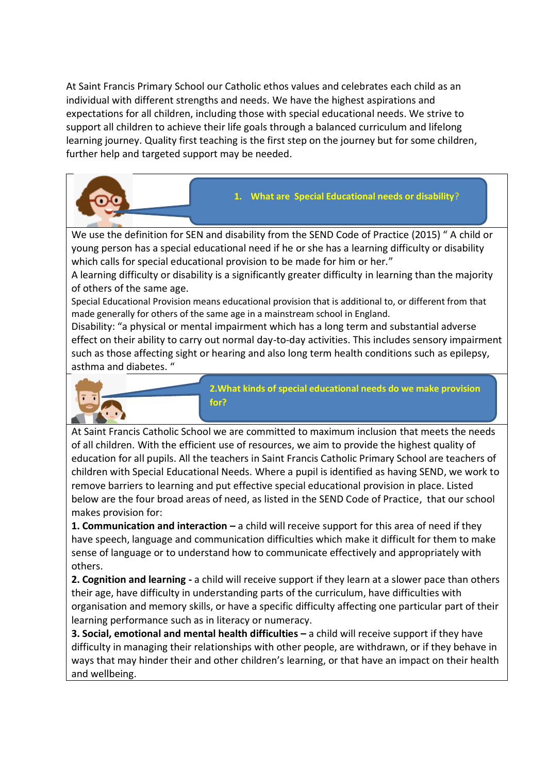At Saint Francis Primary School our Catholic ethos values and celebrates each child as an individual with different strengths and needs. We have the highest aspirations and expectations for all children, including those with special educational needs. We strive to support all children to achieve their life goals through a balanced curriculum and lifelong learning journey. Quality first teaching is the first step on the journey but for some children, further help and targeted support may be needed.

We use the definition for SEN and disability from the SEND Code of Practice (2015) " A child or young person has a special educational need if he or she has a learning difficulty or disability which calls for special educational provision to be made for him or her."

A learning difficulty or disability is a significantly greater difficulty in learning than the majority of others of the same age.

Special Educational Provision means educational provision that is additional to, or different from that made generally for others of the same age in a mainstream school in England.

Disability: "a physical or mental impairment which has a long term and substantial adverse effect on their ability to carry out normal day-to-day activities. This includes sensory impairment such as those affecting sight or hearing and also long term health conditions such as epilepsy, asthma and diabetes. "



**2.What kinds of special educational needs do we make provision for?**

**1. What are Special Educational needs or disability**?

At Saint Francis Catholic School we are committed to maximum inclusion that meets the needs of all children. With the efficient use of resources, we aim to provide the highest quality of education for all pupils. All the teachers in Saint Francis Catholic Primary School are teachers of children with Special Educational Needs. Where a pupil is identified as having SEND, we work to remove barriers to learning and put effective special educational provision in place. Listed below are the four broad areas of need, as listed in the SEND Code of Practice, that our school makes provision for:

**1. Communication and interaction –** a child will receive support for this area of need if they have speech, language and communication difficulties which make it difficult for them to make sense of language or to understand how to communicate effectively and appropriately with others.

**2. Cognition and learning -** a child will receive support if they learn at a slower pace than others their age, have difficulty in understanding parts of the curriculum, have difficulties with organisation and memory skills, or have a specific difficulty affecting one particular part of their learning performance such as in literacy or numeracy.

**3. Social, emotional and mental health difficulties –** a child will receive support if they have difficulty in managing their relationships with other people, are withdrawn, or if they behave in ways that may hinder their and other children's learning, or that have an impact on their health and wellbeing.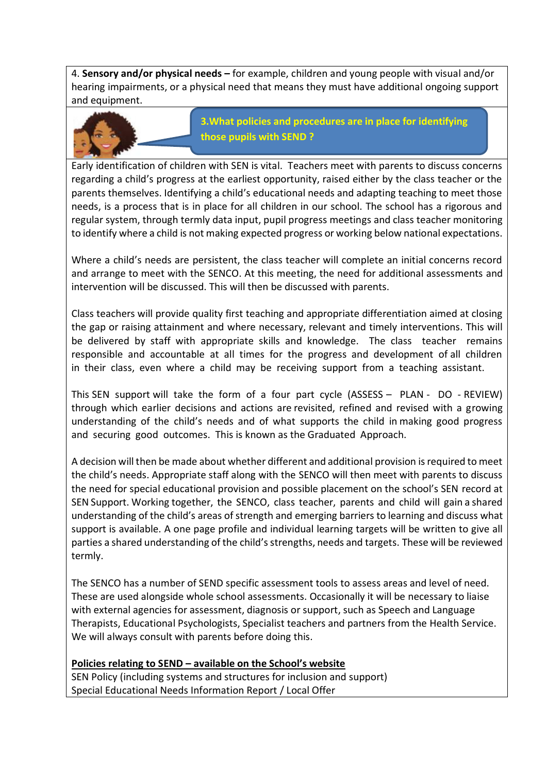4. **Sensory and/or physical needs –** for example, children and young people with visual and/or hearing impairments, or a physical need that means they must have additional ongoing support and equipment.



**3.What policies and procedures are in place for identifying those pupils with SEND ?**

Early identification of children with SEN is vital. Teachers meet with parents to discuss concerns regarding a child's progress at the earliest opportunity, raised either by the class teacher or the parents themselves. Identifying a child's educational needs and adapting teaching to meet those needs, is a process that is in place for all children in our school. The school has a rigorous and regular system, through termly data input, pupil progress meetings and class teacher monitoring to identify where a child is not making expected progress or working below national expectations.

Where a child's needs are persistent, the class teacher will complete an initial concerns record and arrange to meet with the SENCO. At this meeting, the need for additional assessments and intervention will be discussed. This will then be discussed with parents.

Class teachers will provide quality first teaching and appropriate differentiation aimed at closing the gap or raising attainment and where necessary, relevant and timely interventions. This will be delivered by staff with appropriate skills and knowledge. The class teacher remains responsible and accountable at all times for the progress and development of all children in their class, even where a child may be receiving support from a teaching assistant.

This SEN support will take the form of a four part cycle (ASSESS – PLAN - DO - REVIEW) through which earlier decisions and actions are revisited, refined and revised with a growing understanding of the child's needs and of what supports the child in making good progress and securing good outcomes. This is known as the Graduated Approach.

A decision will then be made about whether different and additional provision is required to meet the child's needs. Appropriate staff along with the SENCO will then meet with parents to discuss the need for special educational provision and possible placement on the school's SEN record at SEN Support. Working together, the SENCO, class teacher, parents and child will gain a shared understanding of the child's areas of strength and emerging barriers to learning and discuss what support is available. A one page profile and individual learning targets will be written to give all parties a shared understanding of the child's strengths, needs and targets. These will be reviewed termly.

The SENCO has a number of SEND specific assessment tools to assess areas and level of need. These are used alongside whole school assessments. Occasionally it will be necessary to liaise with external agencies for assessment, diagnosis or support, such as Speech and Language Therapists, Educational Psychologists, Specialist teachers and partners from the Health Service. We will always consult with parents before doing this.

### **Policies relating to SEND – available on the School's website**

SEN Policy (including systems and structures for inclusion and support) Special Educational Needs Information Report / Local Offer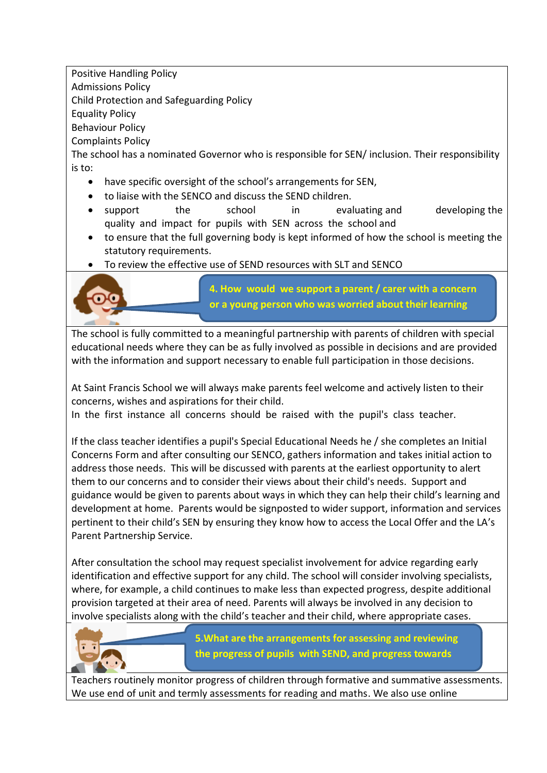Positive Handling Policy

Admissions Policy

Child Protection and Safeguarding Policy

Equality Policy

Behaviour Policy

Complaints Policy

The school has a nominated Governor who is responsible for SEN/ inclusion. Their responsibility is to:

- have specific oversight of the school's arrangements for SEN,
- to liaise with the SENCO and discuss the SEND children.
- support the school in evaluating and developing the quality and impact for pupils with SEN across the school and
- to ensure that the full governing body is kept informed of how the school is meeting the statutory requirements.
- To review the effective use of SEND resources with SLT and SENCO



**4. How would we support a parent / carer with a concern or a young person who was worried about their learning**

The school is fully committed to a meaningful partnership with parents of children with special educational needs where they can be as fully involved as possible in decisions and are provided with the information and support necessary to enable full participation in those decisions.

At Saint Francis School we will always make parents feel welcome and actively listen to their concerns, wishes and aspirations for their child.

In the first instance all concerns should be raised with the pupil's class teacher.

If the class teacher identifies a pupil's Special Educational Needs he / she completes an Initial Concerns Form and after consulting our SENCO, gathers information and takes initial action to address those needs. This will be discussed with parents at the earliest opportunity to alert them to our concerns and to consider their views about their child's needs. Support and guidance would be given to parents about ways in which they can help their child's learning and development at home. Parents would be signposted to wider support, information and services pertinent to their child's SEN by ensuring they know how to access the Local Offer and the LA's Parent Partnership Service.

After consultation the school may request specialist involvement for advice regarding early identification and effective support for any child. The school will consider involving specialists, where, for example, a child continues to make less than expected progress, despite additional provision targeted at their area of need. Parents will always be involved in any decision to involve specialists along with the child's teacher and their child, where appropriate cases.



**5.What are the arrangements for assessing and reviewing the progress of pupils with SEND, and progress towards** 

Teachers routinely monitor progress of children through formative and summative assessments. We use end of unit and termly assessments for reading and maths. We also use online **their outcomes.**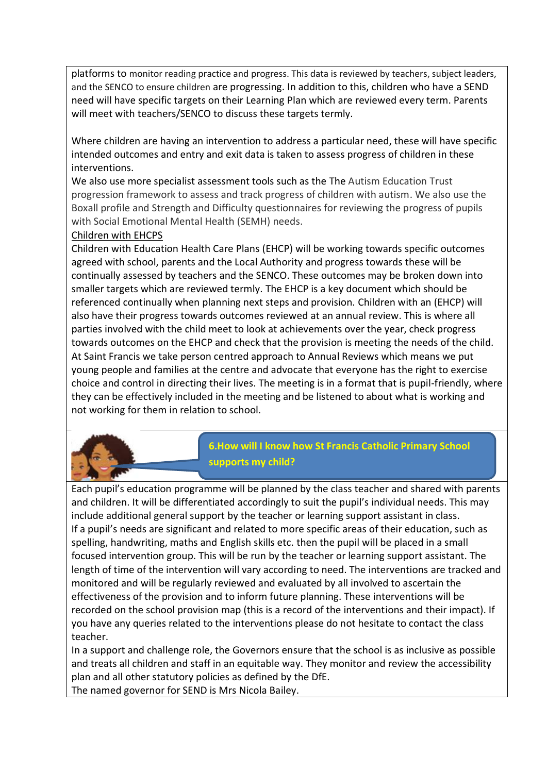platforms to monitor reading practice and progress. This data is reviewed by teachers, subject leaders, and the SENCO to ensure children are progressing. In addition to this, children who have a SEND need will have specific targets on their Learning Plan which are reviewed every term. Parents will meet with teachers/SENCO to discuss these targets termly.

Where children are having an intervention to address a particular need, these will have specific intended outcomes and entry and exit data is taken to assess progress of children in these interventions.

We also use more specialist assessment tools such as the The Autism Education Trust progression framework to assess and track progress of children with autism. We also use the Boxall profile and Strength and Difficulty questionnaires for reviewing the progress of pupils with Social Emotional Mental Health (SEMH) needs.

### Children with EHCPS

Children with Education Health Care Plans (EHCP) will be working towards specific outcomes agreed with school, parents and the Local Authority and progress towards these will be continually assessed by teachers and the SENCO. These outcomes may be broken down into smaller targets which are reviewed termly. The EHCP is a key document which should be referenced continually when planning next steps and provision. Children with an (EHCP) will also have their progress towards outcomes reviewed at an annual review. This is where all parties involved with the child meet to look at achievements over the year, check progress towards outcomes on the EHCP and check that the provision is meeting the needs of the child. At Saint Francis we take person centred approach to Annual Reviews which means we put young people and families at the centre and advocate that everyone has the right to exercise choice and control in directing their lives. The meeting is in a format that is pupil-friendly, where they can be effectively included in the meeting and be listened to about what is working and not working for them in relation to school.



Each pupil's education programme will be planned by the class teacher and shared with parents and children. It will be differentiated accordingly to suit the pupil's individual needs. This may include additional general support by the teacher or learning support assistant in class. If a pupil's needs are significant and related to more specific areas of their education, such as spelling, handwriting, maths and English skills etc. then the pupil will be placed in a small focused intervention group. This will be run by the teacher or learning support assistant. The length of time of the intervention will vary according to need. The interventions are tracked and monitored and will be regularly reviewed and evaluated by all involved to ascertain the effectiveness of the provision and to inform future planning. These interventions will be recorded on the school provision map (this is a record of the interventions and their impact). If you have any queries related to the interventions please do not hesitate to contact the class teacher.

In a support and challenge role, the Governors ensure that the school is as inclusive as possible and treats all children and staff in an equitable way. They monitor and review the accessibility plan and all other statutory policies as defined by the DfE. The named governor for SEND is Mrs Nicola Bailey.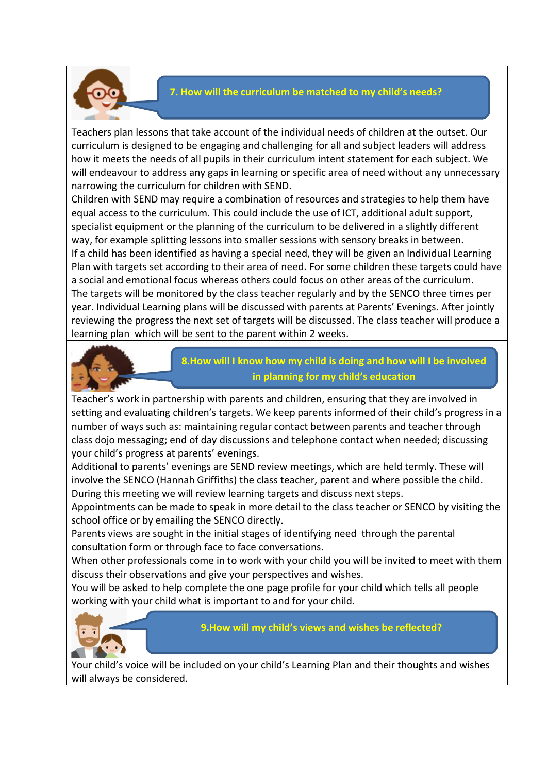

### **7. How will the curriculum be matched to my child's needs?**

Teachers plan lessons that take account of the individual needs of children at the outset. Our curriculum is designed to be engaging and challenging for all and subject leaders will address how it meets the needs of all pupils in their curriculum intent statement for each subject. We will endeavour to address any gaps in learning or specific area of need without any unnecessary narrowing the curriculum for children with SEND.

Children with SEND may require a combination of resources and strategies to help them have equal access to the curriculum. This could include the use of ICT, additional adult support, specialist equipment or the planning of the curriculum to be delivered in a slightly different way, for example splitting lessons into smaller sessions with sensory breaks in between. If a child has been identified as having a special need, they will be given an Individual Learning Plan with targets set according to their area of need. For some children these targets could have a social and emotional focus whereas others could focus on other areas of the curriculum. The targets will be monitored by the class teacher regularly and by the SENCO three times per year. Individual Learning plans will be discussed with parents at Parents' Evenings. After jointly reviewing the progress the next set of targets will be discussed. The class teacher will produce a learning plan which will be sent to the parent within 2 weeks.



# **8.How will I know how my child is doing and how will I be involved in planning for my child's education**

Teacher's work in partnership with parents and children, ensuring that they are involved in setting and evaluating children's targets. We keep parents informed of their child's progress in a number of ways such as: maintaining regular contact between parents and teacher through class dojo messaging; end of day discussions and telephone contact when needed; discussing your child's progress at parents' evenings.

Additional to parents' evenings are SEND review meetings, which are held termly. These will involve the SENCO (Hannah Griffiths) the class teacher, parent and where possible the child. During this meeting we will review learning targets and discuss next steps.

Appointments can be made to speak in more detail to the class teacher or SENCO by visiting the school office or by emailing the SENCO directly.

Parents views are sought in the initial stages of identifying need through the parental consultation form or through face to face conversations.

When other professionals come in to work with your child you will be invited to meet with them discuss their observations and give your perspectives and wishes.

You will be asked to help complete the one page profile for your child which tells all people working with your child what is important to and for your child.



### **9.How will my child's views and wishes be reflected?**

Your child's voice will be included on your child's Learning Plan and their thoughts and wishes will always be considered.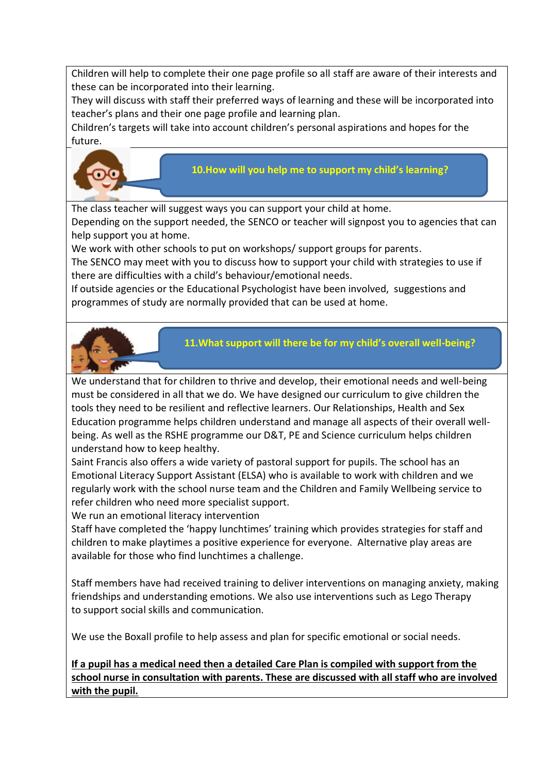Children will help to complete their one page profile so all staff are aware of their interests and these can be incorporated into their learning.

They will discuss with staff their preferred ways of learning and these will be incorporated into teacher's plans and their one page profile and learning plan.

Children's targets will take into account children's personal aspirations and hopes for the future.



### **10.How will you help me to support my child's learning?**

The class teacher will suggest ways you can support your child at home. Depending on the support needed, the SENCO or teacher will signpost you to agencies that can help support you at home.

We work with other schools to put on workshops/ support groups for parents.

The SENCO may meet with you to discuss how to support your child with strategies to use if there are difficulties with a child's behaviour/emotional needs.

If outside agencies or the Educational Psychologist have been involved, suggestions and programmes of study are normally provided that can be used at home.



**11.What support will there be for my child's overall well-being?**

We understand that for children to thrive and develop, their emotional needs and well-being must be considered in all that we do. We have designed our curriculum to give children the tools they need to be resilient and reflective learners. Our Relationships, Health and Sex Education programme helps children understand and manage all aspects of their overall wellbeing. As well as the RSHE programme our D&T, PE and Science curriculum helps children understand how to keep healthy.

Saint Francis also offers a wide variety of pastoral support for pupils. The school has an Emotional Literacy Support Assistant (ELSA) who is available to work with children and we regularly work with the school nurse team and the Children and Family Wellbeing service to refer children who need more specialist support.

We run an emotional literacy intervention

Staff have completed the 'happy lunchtimes' training which provides strategies for staff and children to make playtimes a positive experience for everyone. Alternative play areas are available for those who find lunchtimes a challenge.

Staff members have had received training to deliver interventions on managing anxiety, making friendships and understanding emotions. We also use interventions such as Lego Therapy to support social skills and communication.

We use the Boxall profile to help assess and plan for specific emotional or social needs.

**If a pupil has a medical need then a detailed Care Plan is compiled with support from the school nurse in consultation with parents. These are discussed with all staff who are involved with the pupil.**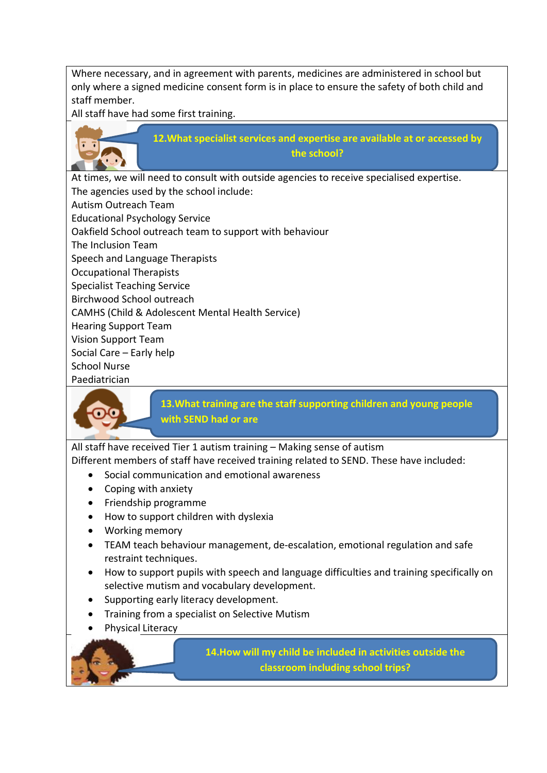Where necessary, and in agreement with parents, medicines are administered in school but only where a signed medicine consent form is in place to ensure the safety of both child and staff member.

All staff have had some first training.



At times, we will need to consult with outside agencies to receive specialised expertise. The agencies used by the school include: Autism Outreach Team Educational Psychology Service Oakfield School outreach team to support with behaviour The Inclusion Team Speech and Language Therapists Occupational Therapists Specialist Teaching Service Birchwood School outreach CAMHS (Child & Adolescent Mental Health Service) Hearing Support Team Vision Support Team Social Care – Early help School Nurse Paediatrician



**13.What training are the staff supporting children and young people with SEND had or are**

All staff have received Tier 1 autism training - Making sense of autism

Different members of staff have received training related to SEND. These have included:

- Social communication and emotional awareness
- Coping with anxiety
- Friendship programme
- How to support children with dyslexia
- Working memory
- TEAM teach behaviour management, de-escalation, emotional regulation and safe restraint techniques.
- How to support pupils with speech and language difficulties and training specifically on selective mutism and vocabulary development.
- Supporting early literacy development.
- Training from a specialist on Selective Mutism
- Physical Literacy

**14.How will my child be included in activities outside the classroom including school trips?**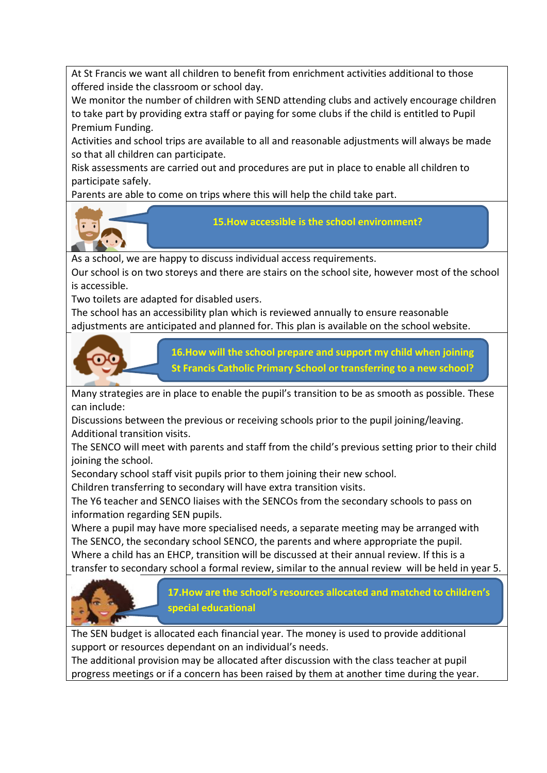At St Francis we want all children to benefit from enrichment activities additional to those offered inside the classroom or school day.

We monitor the number of children with SEND attending clubs and actively encourage children to take part by providing extra staff or paying for some clubs if the child is entitled to Pupil Premium Funding.

Activities and school trips are available to all and reasonable adjustments will always be made so that all children can participate.

Risk assessments are carried out and procedures are put in place to enable all children to participate safely.

Parents are able to come on trips where this will help the child take part.



**15.How accessible is the school environment?**

As a school, we are happy to discuss individual access requirements.

Our school is on two storeys and there are stairs on the school site, however most of the school is accessible.

Two toilets are adapted for disabled users.

The school has an accessibility plan which is reviewed annually to ensure reasonable adjustments are anticipated and planned for. This plan is available on the school website.



**16.How will the school prepare and support my child when joining St Francis Catholic Primary School or transferring to a new school?**

Many strategies are in place to enable the pupil's transition to be as smooth as possible. These can include:

Discussions between the previous or receiving schools prior to the pupil joining/leaving. Additional transition visits.

The SENCO will meet with parents and staff from the child's previous setting prior to their child joining the school.

Secondary school staff visit pupils prior to them joining their new school.

Children transferring to secondary will have extra transition visits.

The Y6 teacher and SENCO liaises with the SENCOs from the secondary schools to pass on information regarding SEN pupils.

Where a pupil may have more specialised needs, a separate meeting may be arranged with The SENCO, the secondary school SENCO, the parents and where appropriate the pupil. Where a child has an EHCP, transition will be discussed at their annual review. If this is a transfer to secondary school a formal review, similar to the annual review will be held in year 5.



**17.How are the school's resources allocated and matched to children's special educational**

The SEN budget is allocated each financial year. The money is used to provide additional support or resources dependant on an individual's needs.

The additional provision may be allocated after discussion with the class teacher at pupil progress meetings or if a concern has been raised by them at another time during the year.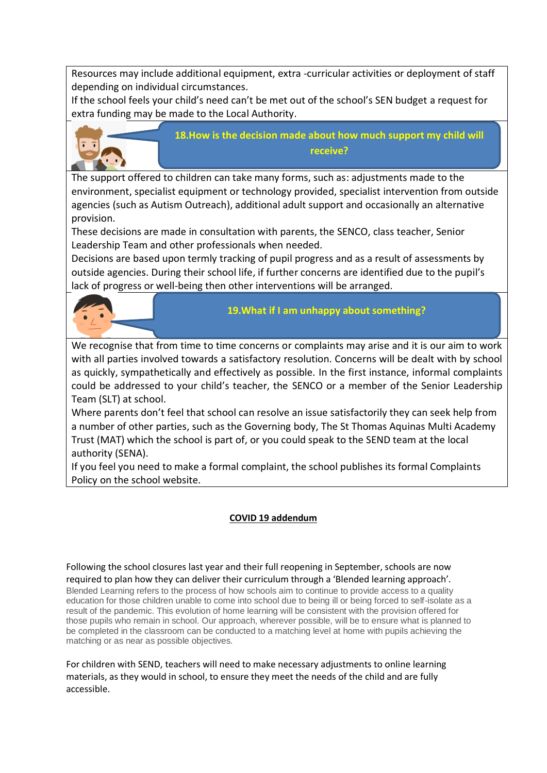Resources may include additional equipment, extra -curricular activities or deployment of staff depending on individual circumstances.

If the school feels your child's need can't be met out of the school's SEN budget a request for extra funding may be made to the Local Authority.



**18.How is the decision made about how much support my child will receive?**

The support offered to children can take many forms, such as: adjustments made to the environment, specialist equipment or technology provided, specialist intervention from outside agencies (such as Autism Outreach), additional adult support and occasionally an alternative provision.

These decisions are made in consultation with parents, the SENCO, class teacher, Senior Leadership Team and other professionals when needed.

Decisions are based upon termly tracking of pupil progress and as a result of assessments by outside agencies. During their school life, if further concerns are identified due to the pupil's lack of progress or well-being then other interventions will be arranged.



## **19.What if I am unhappy about something?**

We recognise that from time to time concerns or complaints may arise and it is our aim to work with all parties involved towards a satisfactory resolution. Concerns will be dealt with by school as quickly, sympathetically and effectively as possible. In the first instance, informal complaints could be addressed to your child's teacher, the SENCO or a member of the Senior Leadership Team (SLT) at school.

Where parents don't feel that school can resolve an issue satisfactorily they can seek help from a number of other parties, such as the Governing body, The St Thomas Aquinas Multi Academy Trust (MAT) which the school is part of, or you could speak to the SEND team at the local authority (SENA).

If you feel you need to make a formal complaint, the school publishes its formal Complaints Policy on the school website.

### **COVID 19 addendum**

Following the school closures last year and their full reopening in September, schools are now required to plan how they can deliver their curriculum through a 'Blended learning approach'. Blended Learning refers to the process of how schools aim to continue to provide access to a quality education for those children unable to come into school due to being ill or being forced to self-isolate as a result of the pandemic. This evolution of home learning will be consistent with the provision offered for those pupils who remain in school. Our approach, wherever possible, will be to ensure what is planned to be completed in the classroom can be conducted to a matching level at home with pupils achieving the matching or as near as possible objectives.

For children with SEND, teachers will need to make necessary adjustments to online learning materials, as they would in school, to ensure they meet the needs of the child and are fully accessible.